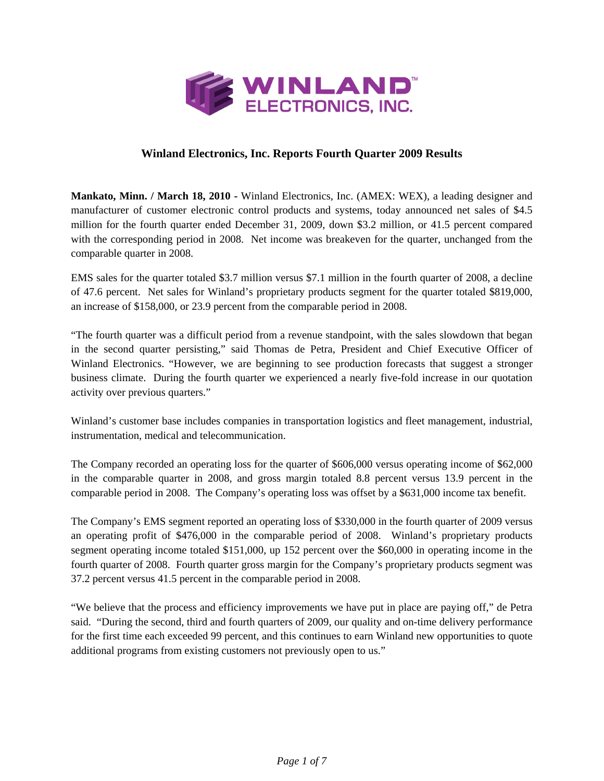

## **Winland Electronics, Inc. Reports Fourth Quarter 2009 Results**

**Mankato, Minn. / March 18, 2010 -** Winland Electronics, Inc. (AMEX: WEX), a leading designer and manufacturer of customer electronic control products and systems, today announced net sales of \$4.5 million for the fourth quarter ended December 31, 2009, down \$3.2 million, or 41.5 percent compared with the corresponding period in 2008. Net income was breakeven for the quarter, unchanged from the comparable quarter in 2008.

EMS sales for the quarter totaled \$3.7 million versus \$7.1 million in the fourth quarter of 2008, a decline of 47.6 percent. Net sales for Winland's proprietary products segment for the quarter totaled \$819,000, an increase of \$158,000, or 23.9 percent from the comparable period in 2008.

"The fourth quarter was a difficult period from a revenue standpoint, with the sales slowdown that began in the second quarter persisting," said Thomas de Petra, President and Chief Executive Officer of Winland Electronics. "However, we are beginning to see production forecasts that suggest a stronger business climate. During the fourth quarter we experienced a nearly five-fold increase in our quotation activity over previous quarters."

Winland's customer base includes companies in transportation logistics and fleet management, industrial, instrumentation, medical and telecommunication.

The Company recorded an operating loss for the quarter of \$606,000 versus operating income of \$62,000 in the comparable quarter in 2008, and gross margin totaled 8.8 percent versus 13.9 percent in the comparable period in 2008. The Company's operating loss was offset by a \$631,000 income tax benefit.

The Company's EMS segment reported an operating loss of \$330,000 in the fourth quarter of 2009 versus an operating profit of \$476,000 in the comparable period of 2008. Winland's proprietary products segment operating income totaled \$151,000, up 152 percent over the \$60,000 in operating income in the fourth quarter of 2008. Fourth quarter gross margin for the Company's proprietary products segment was 37.2 percent versus 41.5 percent in the comparable period in 2008.

"We believe that the process and efficiency improvements we have put in place are paying off," de Petra said. "During the second, third and fourth quarters of 2009, our quality and on-time delivery performance for the first time each exceeded 99 percent, and this continues to earn Winland new opportunities to quote additional programs from existing customers not previously open to us."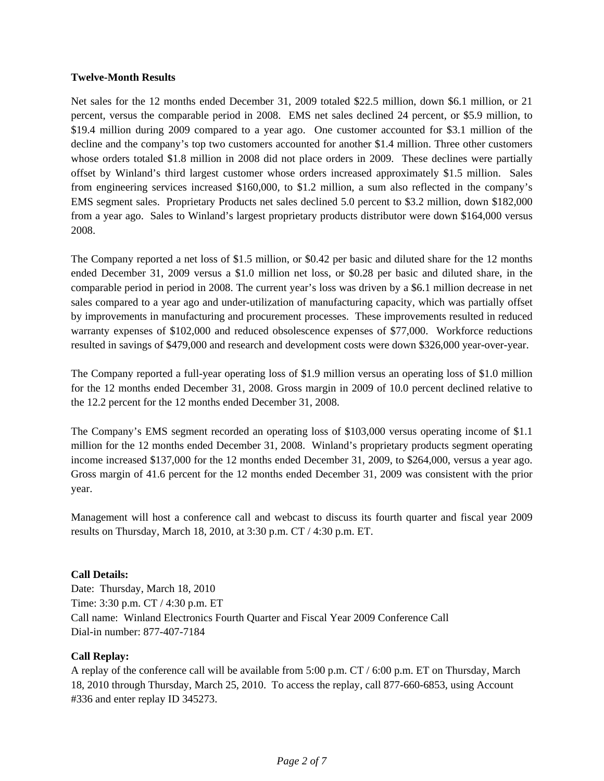### **Twelve-Month Results**

Net sales for the 12 months ended December 31, 2009 totaled \$22.5 million, down \$6.1 million, or 21 percent, versus the comparable period in 2008. EMS net sales declined 24 percent, or \$5.9 million, to \$19.4 million during 2009 compared to a year ago. One customer accounted for \$3.1 million of the decline and the company's top two customers accounted for another \$1.4 million. Three other customers whose orders totaled \$1.8 million in 2008 did not place orders in 2009. These declines were partially offset by Winland's third largest customer whose orders increased approximately \$1.5 million. Sales from engineering services increased \$160,000, to \$1.2 million, a sum also reflected in the company's EMS segment sales. Proprietary Products net sales declined 5.0 percent to \$3.2 million, down \$182,000 from a year ago. Sales to Winland's largest proprietary products distributor were down \$164,000 versus 2008.

The Company reported a net loss of \$1.5 million, or \$0.42 per basic and diluted share for the 12 months ended December 31, 2009 versus a \$1.0 million net loss, or \$0.28 per basic and diluted share, in the comparable period in period in 2008. The current year's loss was driven by a \$6.1 million decrease in net sales compared to a year ago and under-utilization of manufacturing capacity, which was partially offset by improvements in manufacturing and procurement processes. These improvements resulted in reduced warranty expenses of \$102,000 and reduced obsolescence expenses of \$77,000. Workforce reductions resulted in savings of \$479,000 and research and development costs were down \$326,000 year-over-year.

The Company reported a full-year operating loss of \$1.9 million versus an operating loss of \$1.0 million for the 12 months ended December 31, 2008. Gross margin in 2009 of 10.0 percent declined relative to the 12.2 percent for the 12 months ended December 31, 2008.

The Company's EMS segment recorded an operating loss of \$103,000 versus operating income of \$1.1 million for the 12 months ended December 31, 2008. Winland's proprietary products segment operating income increased \$137,000 for the 12 months ended December 31, 2009, to \$264,000, versus a year ago. Gross margin of 41.6 percent for the 12 months ended December 31, 2009 was consistent with the prior year.

Management will host a conference call and webcast to discuss its fourth quarter and fiscal year 2009 results on Thursday, March 18, 2010, at 3:30 p.m. CT / 4:30 p.m. ET.

### **Call Details:**

Date: Thursday, March 18, 2010 Time: 3:30 p.m. CT / 4:30 p.m. ET Call name: Winland Electronics Fourth Quarter and Fiscal Year 2009 Conference Call Dial-in number: 877-407-7184

### **Call Replay:**

A replay of the conference call will be available from 5:00 p.m. CT / 6:00 p.m. ET on Thursday, March 18, 2010 through Thursday, March 25, 2010. To access the replay, call 877-660-6853, using Account #336 and enter replay ID 345273.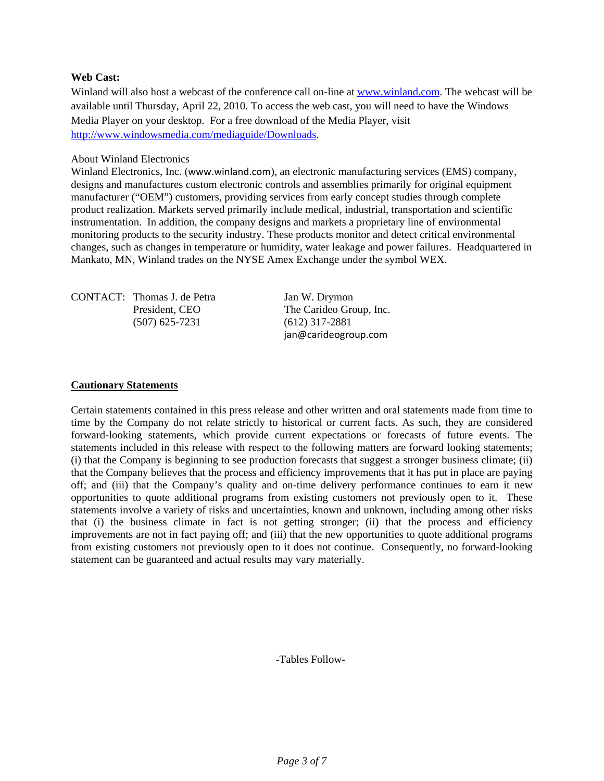#### **Web Cast:**

Winland will also host a webcast of the conference call on-line at www.winland.com. The webcast will be available until Thursday, April 22, 2010. To access the web cast, you will need to have the Windows Media Player on your desktop. For a free download of the Media Player, visit http://www.windowsmedia.com/mediaguide/Downloads.

#### About Winland Electronics

Winland Electronics, Inc. (www.winland.com), an electronic manufacturing services (EMS) company, designs and manufactures custom electronic controls and assemblies primarily for original equipment manufacturer ("OEM") customers, providing services from early concept studies through complete product realization. Markets served primarily include medical, industrial, transportation and scientific instrumentation. In addition, the company designs and markets a proprietary line of environmental monitoring products to the security industry. These products monitor and detect critical environmental changes, such as changes in temperature or humidity, water leakage and power failures. Headquartered in Mankato, MN, Winland trades on the NYSE Amex Exchange under the symbol WEX.

| <b>CONTACT:</b> Thomas J. de Petra |  |  |  |
|------------------------------------|--|--|--|
| President, CEO                     |  |  |  |
| $(507)$ 625-7231                   |  |  |  |
|                                    |  |  |  |

Jan W. Drymon The Carideo Group, Inc.  $(612)$  317-2881 jan@carideogroup.com

#### **Cautionary Statements**

Certain statements contained in this press release and other written and oral statements made from time to time by the Company do not relate strictly to historical or current facts. As such, they are considered forward-looking statements, which provide current expectations or forecasts of future events. The statements included in this release with respect to the following matters are forward looking statements; (i) that the Company is beginning to see production forecasts that suggest a stronger business climate; (ii) that the Company believes that the process and efficiency improvements that it has put in place are paying off; and (iii) that the Company's quality and on-time delivery performance continues to earn it new opportunities to quote additional programs from existing customers not previously open to it. These statements involve a variety of risks and uncertainties, known and unknown, including among other risks that (i) the business climate in fact is not getting stronger; (ii) that the process and efficiency improvements are not in fact paying off; and (iii) that the new opportunities to quote additional programs from existing customers not previously open to it does not continue. Consequently, no forward-looking statement can be guaranteed and actual results may vary materially.

-Tables Follow-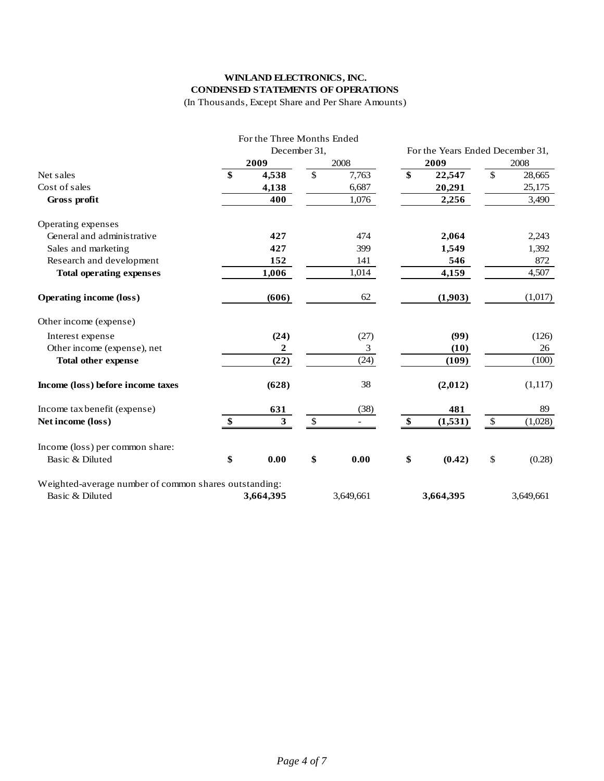# **WINLAND ELECTRONICS, INC. CONDENSED STATEMENTS OF OPERATIONS**

(In Thousands, Except Share and Per Share Amounts)

|                                                                          |              | For the Three Months Ended |             |    |                                  |               |           |
|--------------------------------------------------------------------------|--------------|----------------------------|-------------|----|----------------------------------|---------------|-----------|
|                                                                          | December 31, |                            |             |    | For the Years Ended December 31, |               |           |
|                                                                          |              | 2009                       | 2008        |    | 2009                             |               | 2008      |
| Net sales                                                                | \$           | 4,538                      | \$<br>7,763 | \$ | 22,547                           | $\mathcal{S}$ | 28,665    |
| Cost of sales                                                            |              | 4,138                      | 6,687       |    | 20,291                           |               | 25,175    |
| Gross profit                                                             |              | 400                        | 1,076       |    | 2,256                            |               | 3,490     |
| Operating expenses                                                       |              |                            |             |    |                                  |               |           |
| General and administrative                                               |              | 427                        | 474         |    | 2,064                            |               | 2,243     |
| Sales and marketing                                                      |              | 427                        | 399         |    | 1,549                            |               | 1,392     |
| Research and development                                                 |              | 152                        | 141         |    | 546                              |               | 872       |
| <b>Total operating expenses</b>                                          |              | 1,006                      | 1,014       |    | 4,159                            |               | 4,507     |
| <b>Operating income (loss)</b>                                           |              | (606)                      | 62          |    | (1,903)                          |               | (1,017)   |
| Other income (expense)                                                   |              |                            |             |    |                                  |               |           |
| Interest expense                                                         |              | (24)                       | (27)        |    | (99)                             |               | (126)     |
| Other income (expense), net                                              |              | $\boldsymbol{2}$           | 3           |    | (10)                             |               | 26        |
| <b>Total other expense</b>                                               |              | (22)                       | (24)        |    | (109)                            |               | (100)     |
| Income (loss) before income taxes                                        |              | (628)                      | 38          |    | (2,012)                          |               | (1,117)   |
| Income tax benefit (expense)                                             |              | 631                        | (38)        |    | 481                              |               | 89        |
| Net income (loss)                                                        | \$           | $\overline{\mathbf{3}}$    | \$          | \$ | (1,531)                          | $\mathbb{S}$  | (1,028)   |
| Income (loss) per common share:                                          |              |                            |             |    |                                  |               |           |
| Basic & Diluted                                                          | \$           | 0.00                       | \$<br>0.00  | \$ | (0.42)                           | \$            | (0.28)    |
| Weighted-average number of common shares outstanding:<br>Basic & Diluted |              | 3,664,395                  |             |    |                                  |               | 3,649,661 |
|                                                                          |              |                            | 3,649,661   |    | 3,664,395                        |               |           |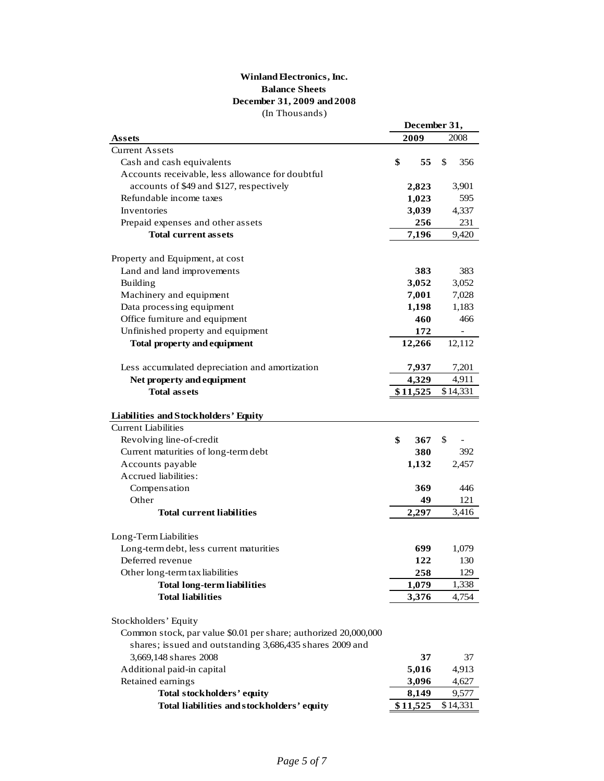#### (In Thousands) **December 31, 2009 and 2008 Winland Electronics, Inc. Balance Sheets**

|                                                                       | December 31, |          |    |                          |
|-----------------------------------------------------------------------|--------------|----------|----|--------------------------|
| <b>Assets</b>                                                         |              | 2009     |    | 2008                     |
| <b>Current Assets</b>                                                 |              |          |    |                          |
| Cash and cash equivalents                                             | \$           | 55       | \$ | 356                      |
| Accounts receivable, less allowance for doubtful                      |              |          |    |                          |
| accounts of \$49 and \$127, respectively                              |              | 2,823    |    | 3,901                    |
| Refundable income taxes                                               |              | 1,023    |    | 595                      |
| Inventories                                                           |              | 3,039    |    | 4,337                    |
| Prepaid expenses and other assets                                     |              | 256      |    | 231                      |
| <b>Total current assets</b>                                           |              | 7,196    |    | 9,420                    |
| Property and Equipment, at cost                                       |              |          |    |                          |
| Land and land improvements                                            |              | 383      |    | 383                      |
| <b>Building</b>                                                       |              | 3,052    |    |                          |
|                                                                       |              |          |    | 3,052                    |
| Machinery and equipment                                               |              | 7,001    |    | 7,028                    |
| Data processing equipment                                             |              | 1,198    |    | 1,183                    |
| Office furniture and equipment                                        |              | 460      |    | 466                      |
| Unfinished property and equipment                                     |              | 172      |    | $\overline{\phantom{0}}$ |
| <b>Total property and equipment</b>                                   |              | 12,266   |    | 12,112                   |
| Less accumulated depreciation and amortization                        |              | 7,937    |    | 7,201                    |
| Net property and equipment                                            |              | 4,329    |    | 4,911                    |
| <b>Total assets</b>                                                   |              | \$11,525 |    | \$14,331                 |
|                                                                       |              |          |    |                          |
| Liabilities and Stockholders' Equity                                  |              |          |    |                          |
| <b>Current Liabilities</b>                                            |              |          |    |                          |
| Revolving line-of-credit                                              | \$           | 367      | \$ |                          |
| Current maturities of long-term debt                                  |              | 380      |    | 392                      |
| Accounts payable                                                      |              | 1,132    |    | 2,457                    |
| Accrued liabilities:                                                  |              |          |    |                          |
| Compensation                                                          |              | 369      |    | 446                      |
| Other                                                                 |              | 49       |    | 121                      |
| <b>Total current liabilities</b>                                      |              | 2,297    |    | 3,416                    |
|                                                                       |              |          |    |                          |
| Long-Term Liabilities<br>Long-term debt, less current maturities      |              | 699      |    | 1,079                    |
| Deferred revenue                                                      |              | 122      |    | 130                      |
|                                                                       |              | 258      |    | 129                      |
| Other long-term tax liabilities<br><b>Total long-term liabilities</b> |              | 1,079    |    |                          |
| <b>Total liabilities</b>                                              |              |          |    | 1,338<br>4,754           |
|                                                                       |              | 3,376    |    |                          |
| Stockholders' Equity                                                  |              |          |    |                          |
| Common stock, par value \$0.01 per share; authorized 20,000,000       |              |          |    |                          |
| shares; issued and outstanding 3,686,435 shares 2009 and              |              |          |    |                          |
| 3,669,148 shares 2008                                                 |              | 37       |    | 37                       |
| Additional paid-in capital                                            |              | 5,016    |    | 4,913                    |
| Retained earnings                                                     |              | 3,096    |    | 4,627                    |
| <b>Total stockholders' equity</b>                                     |              | 8,149    |    | 9,577                    |
| Total liabilities and stockholders' equity                            |              | \$11,525 |    | \$14,331                 |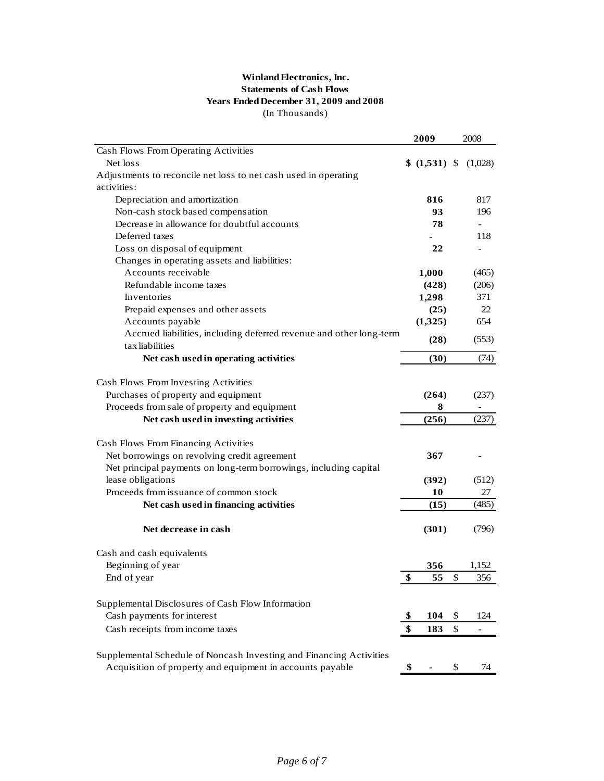### **Winland Electronics, Inc. Statements of Cash Flows Years Ended December 31, 2009 and 2008** (In Thousands)

| Cash Flows From Operating Activities<br>Net loss<br>$$(1,531)$ \\$<br>(1,028)<br>Adjustments to reconcile net loss to net cash used in operating<br>activities:<br>817<br>Depreciation and amortization<br>816<br>Non-cash stock based compensation<br>93<br>196<br>Decrease in allowance for doubtful accounts<br>78<br>$\overline{\phantom{a}}$<br>Deferred taxes<br>118<br>Loss on disposal of equipment<br>22<br>$\overline{\phantom{a}}$<br>Changes in operating assets and liabilities:<br>Accounts receivable<br>1,000<br>(465)<br>Refundable income taxes<br>(428)<br>(206)<br>1,298<br>371<br>Inventories<br>(25)<br>22<br>Prepaid expenses and other assets |  |
|-----------------------------------------------------------------------------------------------------------------------------------------------------------------------------------------------------------------------------------------------------------------------------------------------------------------------------------------------------------------------------------------------------------------------------------------------------------------------------------------------------------------------------------------------------------------------------------------------------------------------------------------------------------------------|--|
|                                                                                                                                                                                                                                                                                                                                                                                                                                                                                                                                                                                                                                                                       |  |
|                                                                                                                                                                                                                                                                                                                                                                                                                                                                                                                                                                                                                                                                       |  |
|                                                                                                                                                                                                                                                                                                                                                                                                                                                                                                                                                                                                                                                                       |  |
|                                                                                                                                                                                                                                                                                                                                                                                                                                                                                                                                                                                                                                                                       |  |
|                                                                                                                                                                                                                                                                                                                                                                                                                                                                                                                                                                                                                                                                       |  |
|                                                                                                                                                                                                                                                                                                                                                                                                                                                                                                                                                                                                                                                                       |  |
|                                                                                                                                                                                                                                                                                                                                                                                                                                                                                                                                                                                                                                                                       |  |
|                                                                                                                                                                                                                                                                                                                                                                                                                                                                                                                                                                                                                                                                       |  |
|                                                                                                                                                                                                                                                                                                                                                                                                                                                                                                                                                                                                                                                                       |  |
|                                                                                                                                                                                                                                                                                                                                                                                                                                                                                                                                                                                                                                                                       |  |
|                                                                                                                                                                                                                                                                                                                                                                                                                                                                                                                                                                                                                                                                       |  |
|                                                                                                                                                                                                                                                                                                                                                                                                                                                                                                                                                                                                                                                                       |  |
|                                                                                                                                                                                                                                                                                                                                                                                                                                                                                                                                                                                                                                                                       |  |
|                                                                                                                                                                                                                                                                                                                                                                                                                                                                                                                                                                                                                                                                       |  |
| (1,325)<br>654<br>Accounts payable                                                                                                                                                                                                                                                                                                                                                                                                                                                                                                                                                                                                                                    |  |
| Accrued liabilities, including deferred revenue and other long-term<br>(553)<br>(28)<br>tax liabilities                                                                                                                                                                                                                                                                                                                                                                                                                                                                                                                                                               |  |
| (30)<br>Net cash used in operating activities                                                                                                                                                                                                                                                                                                                                                                                                                                                                                                                                                                                                                         |  |
| (74)                                                                                                                                                                                                                                                                                                                                                                                                                                                                                                                                                                                                                                                                  |  |
| Cash Flows From Investing Activities                                                                                                                                                                                                                                                                                                                                                                                                                                                                                                                                                                                                                                  |  |
| Purchases of property and equipment<br>(264)<br>(237)                                                                                                                                                                                                                                                                                                                                                                                                                                                                                                                                                                                                                 |  |
| Proceeds from sale of property and equipment<br>8                                                                                                                                                                                                                                                                                                                                                                                                                                                                                                                                                                                                                     |  |
| Net cash used in investing activities<br>(256)                                                                                                                                                                                                                                                                                                                                                                                                                                                                                                                                                                                                                        |  |
| (237)                                                                                                                                                                                                                                                                                                                                                                                                                                                                                                                                                                                                                                                                 |  |
| Cash Flows From Financing Activities                                                                                                                                                                                                                                                                                                                                                                                                                                                                                                                                                                                                                                  |  |
| Net borrowings on revolving credit agreement<br>367                                                                                                                                                                                                                                                                                                                                                                                                                                                                                                                                                                                                                   |  |
| Net principal payments on long-term borrowings, including capital                                                                                                                                                                                                                                                                                                                                                                                                                                                                                                                                                                                                     |  |
| lease obligations<br>(392)<br>(512)                                                                                                                                                                                                                                                                                                                                                                                                                                                                                                                                                                                                                                   |  |
| Proceeds from issuance of common stock<br>10<br>27                                                                                                                                                                                                                                                                                                                                                                                                                                                                                                                                                                                                                    |  |
| Net cash used in financing activities<br>(15)<br>(485)                                                                                                                                                                                                                                                                                                                                                                                                                                                                                                                                                                                                                |  |
|                                                                                                                                                                                                                                                                                                                                                                                                                                                                                                                                                                                                                                                                       |  |
| Net decrease in cash<br>(301)<br>(796)                                                                                                                                                                                                                                                                                                                                                                                                                                                                                                                                                                                                                                |  |
|                                                                                                                                                                                                                                                                                                                                                                                                                                                                                                                                                                                                                                                                       |  |
| Cash and cash equivalents                                                                                                                                                                                                                                                                                                                                                                                                                                                                                                                                                                                                                                             |  |
| Beginning of year<br>356<br>1,152                                                                                                                                                                                                                                                                                                                                                                                                                                                                                                                                                                                                                                     |  |
| End of year<br>\$<br>55<br>356<br>Φ                                                                                                                                                                                                                                                                                                                                                                                                                                                                                                                                                                                                                                   |  |
|                                                                                                                                                                                                                                                                                                                                                                                                                                                                                                                                                                                                                                                                       |  |
| Supplemental Disclosures of Cash Flow Information                                                                                                                                                                                                                                                                                                                                                                                                                                                                                                                                                                                                                     |  |
| Cash payments for interest<br>104<br>\$<br>124<br>\$                                                                                                                                                                                                                                                                                                                                                                                                                                                                                                                                                                                                                  |  |
| Cash receipts from income taxes<br>\$<br>\$<br>183                                                                                                                                                                                                                                                                                                                                                                                                                                                                                                                                                                                                                    |  |
|                                                                                                                                                                                                                                                                                                                                                                                                                                                                                                                                                                                                                                                                       |  |
| Supplemental Schedule of Noncash Investing and Financing Activities                                                                                                                                                                                                                                                                                                                                                                                                                                                                                                                                                                                                   |  |
| Acquisition of property and equipment in accounts payable<br>\$<br>\$<br>74                                                                                                                                                                                                                                                                                                                                                                                                                                                                                                                                                                                           |  |